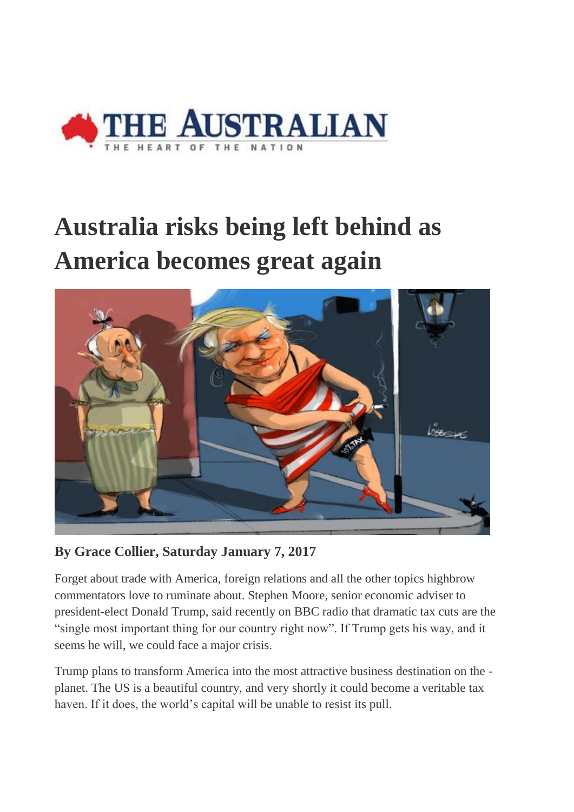

## **Australia risks being left behind as America becomes great again**



**By Grace Collier, Saturday January 7, 2017**

Forget about trade with America, foreign relations and all the other topics highbrow commentators love to ruminate about. Stephen Moore, senior economic adviser to president-elect Donald Trump, said recently on BBC radio that dramatic tax cuts are the "single most important thing for our country right now". If Trump gets his way, and it seems he will, we could face a major crisis.

Trump plans to transform America into the most attractive business destination on the planet. The US is a beautiful country, and very shortly it could become a veritable tax haven. If it does, the world's capital will be unable to resist its pull.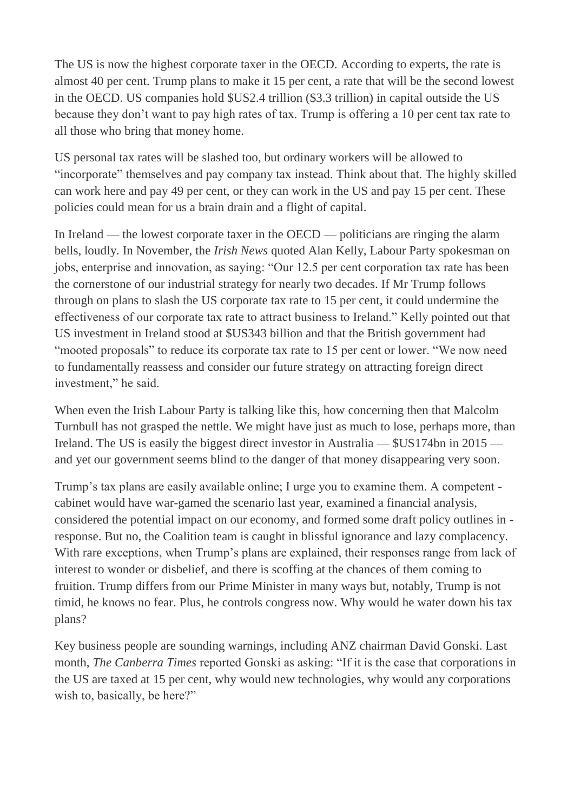The US is now the highest corporate taxer in the OECD. According to experts, the rate is almost 40 per cent. Trump plans to make it 15 per cent, a rate that will be the second lowest in the OECD. US companies hold \$US2.4 trillion (\$3.3 trillion) in capital outside the US because they don't want to pay high rates of tax. Trump is offering a 10 per cent tax rate to all those who bring that money home.

US personal tax rates will be slashed too, but ordinary workers will be allowed to "incorporate" themselves and pay company tax instead. Think about that. The highly skilled can work here and pay 49 per cent, or they can work in the US and pay 15 per cent. These policies could mean for us a brain drain and a flight of capital.

In Ireland — the lowest corporate taxer in the OECD — politicians are ringing the alarm bells, loudly. In November, the *Irish News* quoted Alan Kelly, Labour Party spokesman on jobs, enterprise and innovation, as saying: "Our 12.5 per cent corporation tax rate has been the cornerstone of our industrial strategy for nearly two decades. If Mr Trump follows through on plans to slash the US corporate tax rate to 15 per cent, it could undermine the effectiveness of our corporate tax rate to attract business to Ireland." Kelly pointed out that US investment in Ireland stood at \$US343 billion and that the British government had "mooted proposals" to reduce its corporate tax rate to 15 per cent or lower. "We now need to fundamentally reassess and consider our future strategy on attracting foreign direct investment," he said.

When even the Irish Labour Party is talking like this, how concerning then that Malcolm Turnbull has not grasped the nettle. We might have just as much to lose, perhaps more, than Ireland. The US is easily the biggest direct investor in Australia — \$US174bn in 2015 and yet our government seems blind to the danger of that money disappearing very soon.

Trump's tax plans are easily available online; I urge you to examine them. A competent cabinet would have war-gamed the scenario last year, examined a financial analysis, considered the potential impact on our economy, and formed some draft policy outlines in response. But no, the Coalition team is caught in blissful ignorance and lazy complacency. With rare exceptions, when Trump's plans are explained, their responses range from lack of interest to wonder or disbelief, and there is scoffing at the chances of them coming to fruition. Trump differs from our Prime Minister in many ways but, notably, Trump is not timid, he knows no fear. Plus, he controls congress now. Why would he water down his tax plans?

Key business people are sounding warnings, including ANZ chairman David Gonski. Last month, *The Canberra Times* reported Gonski as asking: "If it is the case that corporations in the US are taxed at 15 per cent, why would new technologies, why would any corporations wish to, basically, be here?"